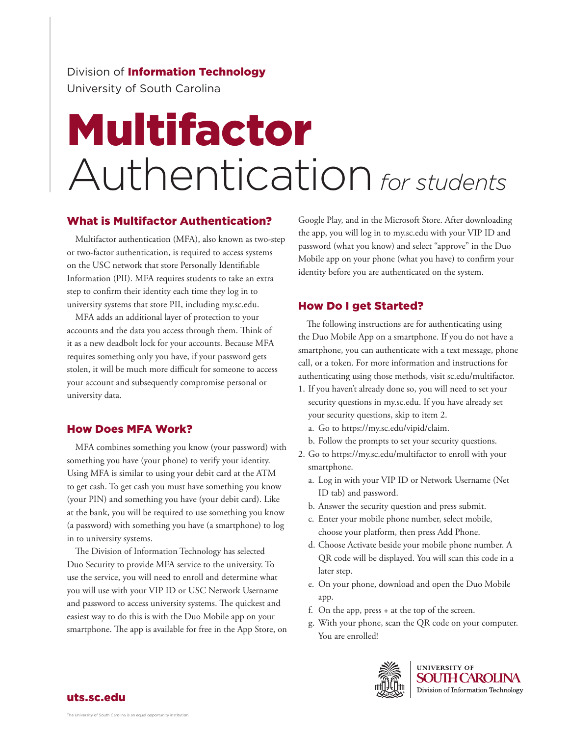Division of **Information Technology** University of South Carolina

# Multifactor Authentication*for students*

### What is Multifactor Authentication?

Multifactor authentication (MFA), also known as two-step or two-factor authentication, is required to access systems on the USC network that store Personally Identifiable Information (PII). MFA requires students to take an extra step to confirm their identity each time they log in to university systems that store PII, including my.sc.edu.

MFA adds an additional layer of protection to your accounts and the data you access through them. Think of it as a new deadbolt lock for your accounts. Because MFA requires something only you have, if your password gets stolen, it will be much more difficult for someone to access your account and subsequently compromise personal or university data.

# How Does MFA Work?

MFA combines something you know (your password) with something you have (your phone) to verify your identity. Using MFA is similar to using your debit card at the ATM to get cash. To get cash you must have something you know (your PIN) and something you have (your debit card). Like at the bank, you will be required to use something you know (a password) with something you have (a smartphone) to log in to university systems.

The Division of Information Technology has selected Duo Security to provide MFA service to the university. To use the service, you will need to enroll and determine what you will use with your VIP ID or USC Network Username and password to access university systems. The quickest and easiest way to do this is with the Duo Mobile app on your smartphone. The app is available for free in the App Store, on Google Play, and in the Microsoft Store. After downloading the app, you will log in to my.sc.edu with your VIP ID and password (what you know) and select "approve" in the Duo Mobile app on your phone (what you have) to confirm your identity before you are authenticated on the system.

# How Do I get Started?

The following instructions are for authenticating using the Duo Mobile App on a smartphone. If you do not have a smartphone, you can authenticate with a text message, phone call, or a token. For more information and instructions for authenticating using those methods, visit sc.edu/multifactor.

- 1. If you haven't already done so, you will need to set your security questions in my.sc.edu. If you have already set your security questions, skip to item 2.
	- a. Go to https://my.sc.edu/vipid/claim.
	- b. Follow the prompts to set your security questions.
- 2. Go to https://my.sc.edu/multifactor to enroll with your smartphone.
	- a. Log in with your VIP ID or Network Username (Net ID tab) and password.
	- b. Answer the security question and press submit.
	- c. Enter your mobile phone number, select mobile, choose your platform, then press Add Phone.
	- d. Choose Activate beside your mobile phone number. A QR code will be displayed. You will scan this code in a later step.
	- e. On your phone, download and open the Duo Mobile app.
	- f. On the app, press + at the top of the screen.
	- g. With your phone, scan the QR code on your computer. You are enrolled!



**UNIVERSITY OF SOUTH CAROLINA** Division of Information Technology